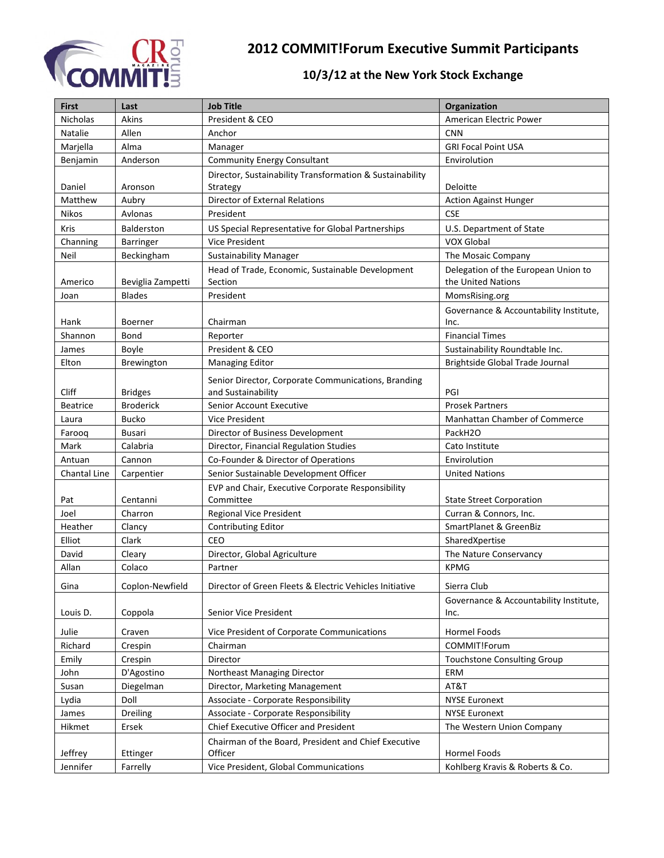

## **2012 COMMIT!Forum Executive Summit Participants**

## **10/3/12 at the New York Stock Exchange**

| <b>First</b>    | Last              | <b>Job Title</b>                                                          | Organization                                   |
|-----------------|-------------------|---------------------------------------------------------------------------|------------------------------------------------|
| Nicholas        | Akins             | President & CEO                                                           | American Electric Power                        |
| Natalie         | Allen             | Anchor                                                                    | <b>CNN</b>                                     |
| Marjella        | Alma              | Manager                                                                   | <b>GRI Focal Point USA</b>                     |
| Benjamin        | Anderson          | <b>Community Energy Consultant</b>                                        | Envirolution                                   |
|                 |                   | Director, Sustainability Transformation & Sustainability                  |                                                |
| Daniel          | Aronson           | Strategy                                                                  | Deloitte                                       |
| Matthew         | Aubry             | Director of External Relations                                            | <b>Action Against Hunger</b>                   |
| Nikos           | Avlonas           | President                                                                 | <b>CSE</b>                                     |
| Kris            | Balderston        | US Special Representative for Global Partnerships                         | U.S. Department of State                       |
| Channing        | Barringer         | <b>Vice President</b>                                                     | <b>VOX Global</b>                              |
| Neil            | Beckingham        | <b>Sustainability Manager</b>                                             | The Mosaic Company                             |
|                 |                   | Head of Trade, Economic, Sustainable Development                          | Delegation of the European Union to            |
| Americo         | Beviglia Zampetti | Section                                                                   | the United Nations                             |
| Joan            | <b>Blades</b>     | President                                                                 | MomsRising.org                                 |
| Hank            | Boerner           | Chairman                                                                  | Governance & Accountability Institute,<br>Inc. |
| Shannon         | Bond              | Reporter                                                                  | <b>Financial Times</b>                         |
| James           | Boyle             | President & CEO                                                           | Sustainability Roundtable Inc.                 |
| Elton           | Brewington        | <b>Managing Editor</b>                                                    | Brightside Global Trade Journal                |
|                 |                   |                                                                           |                                                |
| <b>Cliff</b>    | <b>Bridges</b>    | Senior Director, Corporate Communications, Branding<br>and Sustainability | PGI                                            |
| <b>Beatrice</b> | <b>Broderick</b>  | Senior Account Executive                                                  | <b>Prosek Partners</b>                         |
| Laura           | <b>Bucko</b>      | <b>Vice President</b>                                                     | Manhattan Chamber of Commerce                  |
| Farooq          | Busari            | Director of Business Development                                          | PackH2O                                        |
| Mark            | Calabria          | Director, Financial Regulation Studies                                    | Cato Institute                                 |
| Antuan          | Cannon            | Co-Founder & Director of Operations                                       | Envirolution                                   |
| Chantal Line    | Carpentier        | Senior Sustainable Development Officer                                    | <b>United Nations</b>                          |
|                 |                   | EVP and Chair, Executive Corporate Responsibility                         |                                                |
| Pat             | Centanni          | Committee                                                                 | <b>State Street Corporation</b>                |
| Joel            | Charron           | Regional Vice President                                                   | Curran & Connors, Inc.                         |
| Heather         | Clancy            | <b>Contributing Editor</b>                                                | SmartPlanet & GreenBiz                         |
| Elliot          | Clark             | CEO                                                                       | SharedXpertise                                 |
| David           | Cleary            | Director, Global Agriculture                                              | The Nature Conservancy                         |
| Allan           | Colaco            | Partner                                                                   | <b>KPMG</b>                                    |
| Gina            | Coplon-Newfield   | Director of Green Fleets & Electric Vehicles Initiative                   | Sierra Club                                    |
|                 |                   |                                                                           | Governance & Accountability Institute,         |
| Louis D.        | Coppola           | Senior Vice President                                                     | Inc.                                           |
| Julie           | Craven            | Vice President of Corporate Communications                                | Hormel Foods                                   |
| Richard         | Crespin           | Chairman                                                                  | COMMIT!Forum                                   |
| Emily           | Crespin           | Director                                                                  | <b>Touchstone Consulting Group</b>             |
| John            | D'Agostino        | Northeast Managing Director                                               | ERM                                            |
| Susan           | Diegelman         | Director, Marketing Management                                            | AT&T                                           |
| Lydia           | Doll              | Associate - Corporate Responsibility                                      | <b>NYSE Euronext</b>                           |
| James           | Dreiling          | Associate - Corporate Responsibility                                      | <b>NYSE Euronext</b>                           |
| Hikmet          | Ersek             | Chief Executive Officer and President                                     | The Western Union Company                      |
|                 |                   | Chairman of the Board, President and Chief Executive                      |                                                |
| Jeffrey         | Ettinger          | Officer                                                                   | Hormel Foods                                   |
| Jennifer        | Farrelly          | Vice President, Global Communications                                     | Kohlberg Kravis & Roberts & Co.                |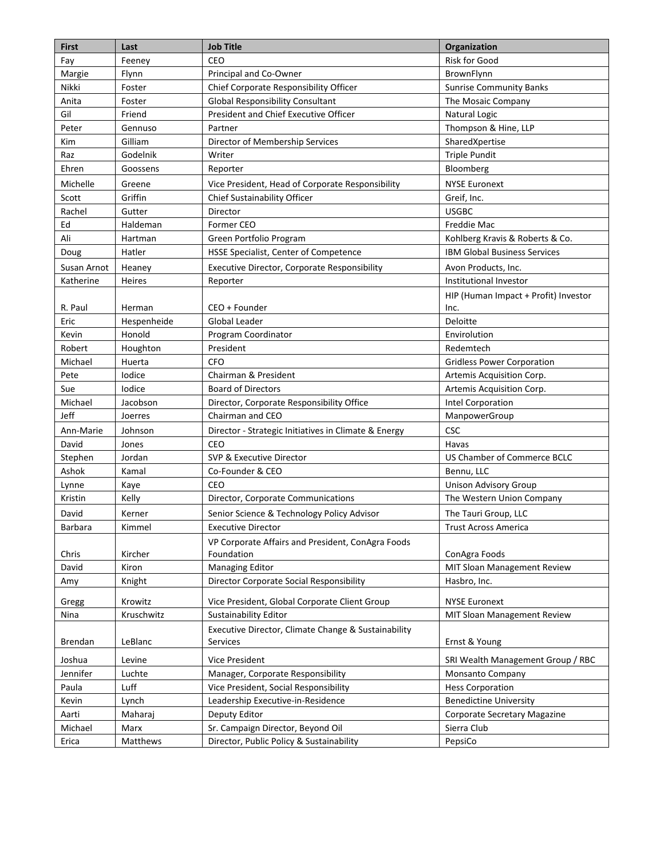| <b>First</b> | Last        | <b>Job Title</b>                                                | Organization                         |
|--------------|-------------|-----------------------------------------------------------------|--------------------------------------|
| Fay          | Feeney      | CEO                                                             | <b>Risk for Good</b>                 |
| Margie       | Flynn       | Principal and Co-Owner                                          | BrownFlynn                           |
| Nikki        | Foster      | Chief Corporate Responsibility Officer                          | <b>Sunrise Community Banks</b>       |
| Anita        | Foster      | <b>Global Responsibility Consultant</b>                         | The Mosaic Company                   |
| Gil          | Friend      | President and Chief Executive Officer                           | Natural Logic                        |
| Peter        | Gennuso     | Partner                                                         | Thompson & Hine, LLP                 |
| Kim          | Gilliam     | Director of Membership Services                                 | SharedXpertise                       |
| Raz          | Godelnik    | Writer                                                          | <b>Triple Pundit</b>                 |
| Ehren        | Goossens    | Reporter                                                        | Bloomberg                            |
| Michelle     | Greene      | Vice President, Head of Corporate Responsibility                | <b>NYSE Euronext</b>                 |
| Scott        | Griffin     | Chief Sustainability Officer                                    | Greif, Inc.                          |
| Rachel       | Gutter      | Director                                                        | <b>USGBC</b>                         |
| Ed           | Haldeman    | Former CEO                                                      | Freddie Mac                          |
| Ali          | Hartman     | Green Portfolio Program                                         | Kohlberg Kravis & Roberts & Co.      |
| Doug         | Hatler      | HSSE Specialist, Center of Competence                           | <b>IBM Global Business Services</b>  |
| Susan Arnot  | Heaney      | <b>Executive Director, Corporate Responsibility</b>             | Avon Products, Inc.                  |
| Katherine    | Heires      | Reporter                                                        | Institutional Investor               |
|              |             |                                                                 | HIP (Human Impact + Profit) Investor |
| R. Paul      | Herman      | CEO + Founder                                                   | Inc.                                 |
| Eric         | Hespenheide | <b>Global Leader</b>                                            | Deloitte                             |
| Kevin        | Honold      | Program Coordinator                                             | Envirolution                         |
| Robert       | Houghton    | President                                                       | Redemtech                            |
| Michael      | Huerta      | <b>CFO</b>                                                      | <b>Gridless Power Corporation</b>    |
| Pete         | lodice      | Chairman & President                                            | Artemis Acquisition Corp.            |
| Sue          | Iodice      | <b>Board of Directors</b>                                       | Artemis Acquisition Corp.            |
| Michael      | Jacobson    | Director, Corporate Responsibility Office                       | Intel Corporation                    |
| Jeff         | Joerres     | Chairman and CEO                                                | ManpowerGroup                        |
| Ann-Marie    | Johnson     | Director - Strategic Initiatives in Climate & Energy            | <b>CSC</b>                           |
| David        | Jones       | CEO                                                             | Havas                                |
| Stephen      | Jordan      | SVP & Executive Director                                        | US Chamber of Commerce BCLC          |
| Ashok        | Kamal       | Co-Founder & CEO                                                | Bennu, LLC                           |
| Lynne        | Kaye        | CEO                                                             | <b>Unison Advisory Group</b>         |
| Kristin      | Kelly       | Director, Corporate Communications                              | The Western Union Company            |
| David        | Kerner      | Senior Science & Technology Policy Advisor                      | The Tauri Group, LLC                 |
| Barbara      | Kimmel      | <b>Executive Director</b>                                       | Trust Across America                 |
|              |             | VP Corporate Affairs and President, ConAgra Foods               |                                      |
| Chris        | Kircher     | Foundation                                                      | ConAgra Foods                        |
| David        | Kiron       | <b>Managing Editor</b>                                          | MIT Sloan Management Review          |
| Amy          | Knight      | Director Corporate Social Responsibility                        | Hasbro, Inc.                         |
| Gregg        | Krowitz     | Vice President, Global Corporate Client Group                   | <b>NYSE Euronext</b>                 |
| Nina         | Kruschwitz  | Sustainability Editor                                           | MIT Sloan Management Review          |
| Brendan      | LeBlanc     | Executive Director, Climate Change & Sustainability<br>Services | Ernst & Young                        |
| Joshua       | Levine      | Vice President                                                  | SRI Wealth Management Group / RBC    |
| Jennifer     | Luchte      | Manager, Corporate Responsibility                               | Monsanto Company                     |
| Paula        | Luff        | Vice President, Social Responsibility                           | <b>Hess Corporation</b>              |
| Kevin        | Lynch       | Leadership Executive-in-Residence                               | <b>Benedictine University</b>        |
| Aarti        | Maharaj     | Deputy Editor                                                   | Corporate Secretary Magazine         |
| Michael      | Marx        | Sr. Campaign Director, Beyond Oil                               | Sierra Club                          |
| Erica        | Matthews    | Director, Public Policy & Sustainability                        | PepsiCo                              |